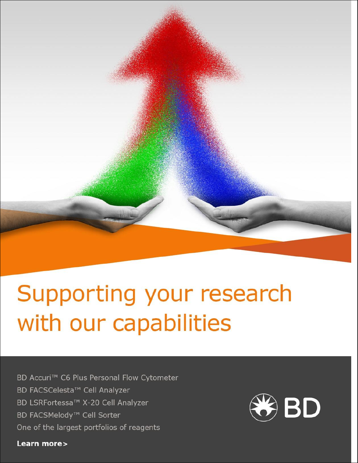

# Supporting your research with our capabilities

- BD Accuri<sup>™</sup> C6 Plus Personal Flow Cytometer
- BD FACSCelesta<sup>™</sup> Cell Analyzer
- BD LSRFortessa™ X-20 Cell Analyzer
- BD FACSMelody<sup>™</sup> Cell Sorter
- One of the largest portfolios of reagents

Learn more>

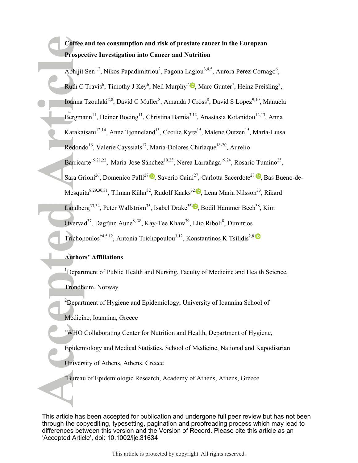# Coffee and tea consumption and risk of prostate cancer in the European **Prospective Investigation into Cancer and Nutrition**

Abhijit Sen<sup>1,2</sup>, Nikos Papadimitriou<sup>2</sup>, Pagona Lagiou<sup>3,4,5</sup>, Aurora Perez-Cornago<sup>6</sup>, Ruth C Travis<sup>6</sup>, Timothy J Key<sup>6</sup>, Neil Murphy<sup>7</sup><sup>1</sup>, Marc Gunter<sup>7</sup>, Heinz Freisling<sup>7</sup>, Ioanna Tzoulaki<sup>2,8</sup>, David C Muller<sup>8</sup>, Amanda J Cross<sup>8</sup>, David S Lopez<sup>9,10</sup>, Manuela  $\text{Bergmann}^{11}$ , Heiner Boeing<sup>11</sup>, Christina Bamia<sup>3,12</sup>, Anastasia Kotanidou<sup>12,13</sup>, Anna Karakatsani<sup>12,14</sup>, Anne Tjønneland<sup>15</sup>, Cecilie Kyrø<sup>15</sup>, Malene Outzen<sup>15</sup>, María-Luisa  $Redondo<sup>16</sup>$ , Valerie Cayssials<sup>17</sup>, Maria-Dolores Chirlaque<sup>18-20</sup>, Aurelio Barricarte<sup>19,21,22</sup>, Maria-Jose Sánchez<sup>19,23</sup>, Nerea Larrañaga<sup>19,24</sup>, Rosario Tumino<sup>25</sup>, Sara Grioni<sup>26</sup>[,](http://orcid.org/0000-0002-8008-5096) Domenico Palli<sup>27</sup> , Saverio Caini<sup>27</sup>, Carlotta Sacerdote<sup>28</sup> , Bas Bueno-de-Mesquita<sup>8[,](http://orcid.org/0000-0003-3751-3929)29,30,31</sup>, Tilman Kühn<sup>32</sup>, Rudolf Kaaks<sup>32</sup>, Lena Maria Nilsson<sup>33</sup>, Rikard Landberg<sup>33[,](http://orcid.org/0000-0002-6500-6310)34</sup>, Peter Wallström<sup>35</sup>, Isabel Drake<sup>36</sup>**D**, Bodil Hammer Bech<sup>38</sup>, Kim Overvad<sup>37</sup>, Dagfinn Aune<sup>8, 38</sup>, Kay-Tee Khaw<sup>39</sup>, Elio Riboli<sup>8</sup>, Dimitrios Trichopoulos<sup>†4,5,12</sup>,Antonia Trichopoulou<sup>3,12</sup>, Konstantinos K Tsilidis<sup>2,8</sup>

# **Authors' Affiliations**

<sup>1</sup>Department of Public Health and Nursing, Faculty of Medicine and Health Science,

Trondheim, Norway

 $2D$ epartment of Hygiene and Epidemiology, University of Ioannina School of

Medicine, Ioannina, Greece

<sup>3</sup>WHO Collaborating Center for Nutrition and Health, Department of Hygiene,

Epidemiology and Medical Statistics, School of Medicine, National and Kapodistrian

University of Athens, Athens, Greece

<sup>4</sup>Bureau of Epidemiologic Research, Academy of Athens, Athens, Greece

This article has been accepted for publication and undergone full peer review but has not been through the copyediting, typesetting, pagination and proofreading process which may lead to differences between this version and the Version of Record. Please cite this article as an 'Accepted Article', doi: 10.1002/ijc.31634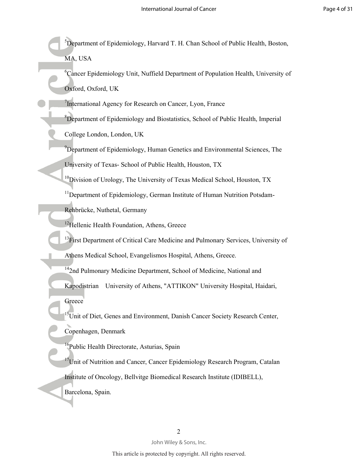${}^{5}$ Department of Epidemiology, Harvard T. H. Chan School of Public Health, Boston, MA, USA

<sup>6</sup>Cancer Epidemiology Unit, Nuffield Department of Population Health, University of Oxford, Oxford, UK

<sup>7</sup>International Agency for Research on Cancer, Lyon, France

<sup>8</sup>Department of Epidemiology and Biostatistics, School of Public Health, Imperial

College London, London, UK

 $^{9}$ Department of Epidemiology, Human Genetics and Environmental Sciences, The University of Texas- School of Public Health, Houston, TX

 $10$ Division of Urology, The University of Texas Medical School, Houston, TX

<sup>11</sup>Department of Epidemiology, German Institute of Human Nutrition Potsdam-

Rehbrücke, Nuthetal, Germany

<sup>12</sup>Hellenic Health Foundation, Athens, Greece

<sup>13</sup>First Department of Critical Care Medicine and Pulmonary Services, University of

Athens Medical School, Evangelismos Hospital, Athens, Greece.

<sup>14</sup>2nd Pulmonary Medicine Department, School of Medicine, National and

Kapodistrian University of Athens, "ATTIKON" University Hospital, Haidari,

**Greece** 

 $^{15}$ Unit of Diet, Genes and Environment, Danish Cancer Society Research Center,

Copenhagen, Denmark

<sup>16</sup>Public Health Directorate, Asturias, Spain

<sup>17</sup>Unit of Nutrition and Cancer, Cancer Epidemiology Research Program, Catalan

Institute of Oncology, Bellvitge Biomedical Research Institute (IDIBELL),

Barcelona, Spain.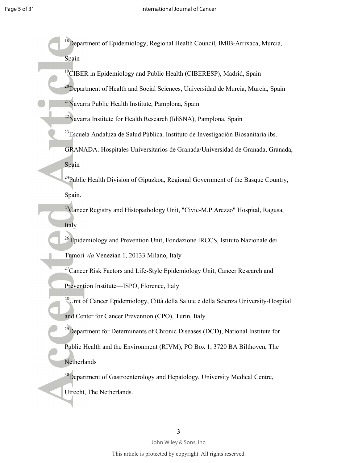- $18$ Department of Epidemiology, Regional Health Council, IMIB-Arrixaca, Murcia, Spain
	- <sup>19</sup>CIBER in Epidemiology and Public Health (CIBERESP), Madrid, Spain
	- $^{20}$ Department of Health and Social Sciences, Universidad de Murcia, Murcia, Spain
- <sup>21</sup>Navarra Public Health Institute, Pamplona, Spain
	- $^{22}$ Navarra Institute for Health Research (IdiSNA), Pamplona, Spain
	- <sup>23</sup>Escuela Andaluza de Salud Pública. Instituto de Investigación Biosanitaria ibs.
- GRANADA. Hospitales Universitarios de Granada/Universidad de Granada, Granada, Spain
- <sup>24</sup>Public Health Division of Gipuzkoa, Regional Government of the Basque Country, Spain.
- $^{25}$ Cancer Registry and Histopathology Unit, "Civic-M.P.Arezzo" Hospital, Ragusa, Italy
- $^{26}$  Epidemiology and Prevention Unit, Fondazione IRCCS, Istituto Nazionale dei Tumori *via* Venezian 1, 20133 Milano, Italy
- $27$ Cancer Risk Factors and Life-Style Epidemiology Unit, Cancer Research and Prevention Institute—ISPO, Florence, Italy
- <sup>28</sup>Unit of Cancer Epidemiology, Città della Salute e della Scienza University-Hospital and Center for Cancer Prevention (CPO), Turin, Italy
- $29$ Department for Determinants of Chronic Diseases (DCD), National Institute for
- Public Health and the Environment (RIVM), PO Box 1, 3720 BA Bilthoven, The **Netherlands**
- <sup>30</sup>Department of Gastroenterology and Hepatology, University Medical Centre, Utrecht, The Netherlands.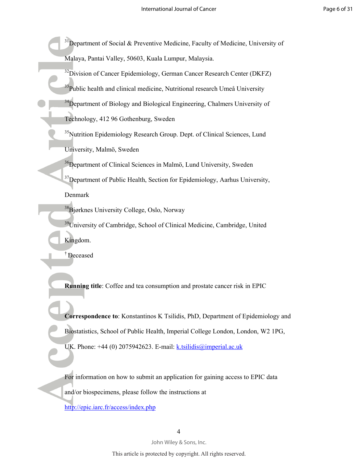<sup>31</sup>Department of Social & Preventive Medicine, Faculty of Medicine, University of Malaya, Pantai Valley, 50603, Kuala Lumpur, Malaysia.

 $32$ Division of Cancer Epidemiology, German Cancer Research Center (DKFZ) <sup>33</sup>Public health and clinical medicine, Nutritional research Umeå University <sup>34</sup>Department of Biology and Biological Engineering, Chalmers University of Technology, 412 96 Gothenburg, Sweden

<sup>35</sup>Nutrition Epidemiology Research Group. Dept. of Clinical Sciences, Lund University, Malmö, Sweden

<sup>36</sup>Department of Clinical Sciences in Malmö, Lund University, Sweden

 $37$ Department of Public Health, Section for Epidemiology, Aarhus University, Denmark

<sup>38</sup>Bjørknes University College, Oslo, Norway

<sup>39</sup>University of Cambridge, School of Clinical Medicine, Cambridge, United Kingdom.

† Deceased

**Running title:** Coffee and tea consumption and prostate cancer risk in EPIC

**-- -**: Konstantinos K Tsilidis, PhD, Department of Epidemiology and Biostatistics, School of Public Health, Imperial College London, London, W2 1PG, UK. Phone:  $+44$  (0) 2075942623. E-mail: k.tsilidis@imperial.ac.uk

For information on how to submit an application for gaining access to EPIC data and/or biospecimens, please follow the instructions at

http://epic.iarc.fr/access/index.php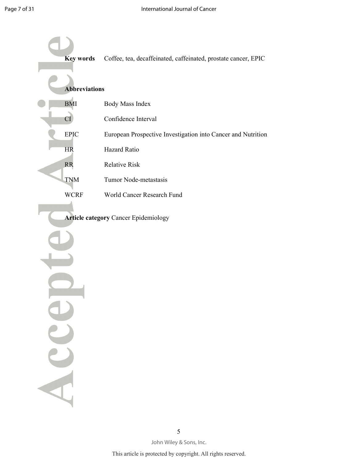| <b>Key words</b><br><b>Abbreviations</b> | Coffee, tea, decaffeinated, caffeinated, prostate cancer, EPIC |
|------------------------------------------|----------------------------------------------------------------|
| <b>BMI</b>                               | Body Mass Index                                                |
| CI                                       | Confidence Interval                                            |
| <b>EPIC</b>                              | European Prospective Investigation into Cancer and Nutrition   |
| <b>HR</b>                                | Hazard Ratio                                                   |
| <b>RR</b>                                | <b>Relative Risk</b>                                           |
| <b>TNM</b>                               | Tumor Node-metastasis                                          |
| <b>WCRF</b>                              | World Cancer Research Fund                                     |
|                                          | <b>Article category Cancer Epidemiology</b>                    |
|                                          |                                                                |
|                                          |                                                                |
|                                          |                                                                |
|                                          |                                                                |
|                                          |                                                                |
|                                          |                                                                |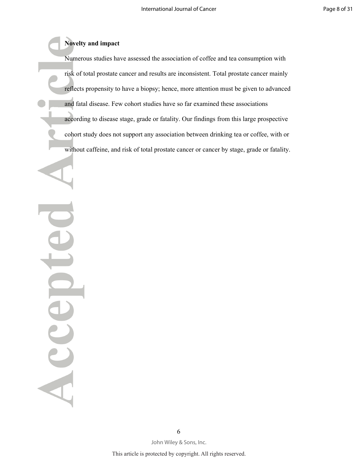**Novelty and impact** 

Numerous studies have assessed the association of coffee and tea consumption with risk of total prostate cancer and results are inconsistent. Total prostate cancer mainly reflects propensity to have a biopsy; hence, more attention must be given to advanced and fatal disease. Few cohort studies have so far examined these associations according to disease stage, grade or fatality. Our findings from this large prospective cohort study does not support any association between drinking tea or coffee, with or without caffeine, and risk of total prostate cancer or cancer by stage, grade or fatality.

Accel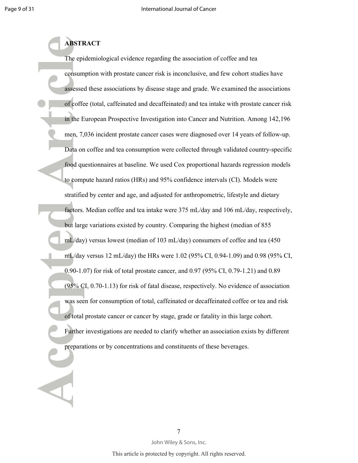**ABSTRACT** 

The epidemiological evidence regarding the association of coffee and tea consumption with prostate cancer risk is inconclusive, and few cohort studies have assessed these associations by disease stage and grade. We examined the associations of coffee (total, caffeinated and decaffeinated) and tea intake with prostate cancer risk in the European Prospective Investigation into Cancer and Nutrition. Among 142,196 men, 7,036 incident prostate cancer cases were diagnosed over 14 years of follow-up. Data on coffee and tea consumption were collected through validated country-specific food questionnaires at baseline. We used Cox proportional hazards regression models to compute hazard ratios (HRs) and 95% confidence intervals (CI). Models were stratified by center and age, and adjusted for anthropometric, lifestyle and dietary factors. Median coffee and tea intake were 375 mL/day and 106 mL/day, respectively, but large variations existed by country. Comparing the highest (median of 855 mL/day) versus lowest (median of 103 mL/day) consumers of coffee and tea (450 mL/day versus 12 mL/day) the HRs were 1.02 (95% CI, 0.941.09) and 0.98 (95% CI,  $0.90-1.07$ ) for risk of total prostate cancer, and  $0.97$  (95% CI, 0.79-1.21) and 0.89  $(95\% \text{ CI}, 0.70-1.13)$  for risk of fatal disease, respectively. No evidence of association was seen for consumption of total, caffeinated or decaffeinated coffee or tea and risk of total prostate cancer or cancer by stage, grade or fatality in this large cohort. Further investigations are needed to clarify whether an association exists by different preparations or by concentrations and constituents of these beverages.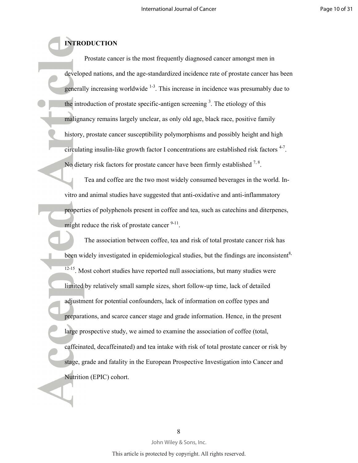# **INTRODUCTION**

Prostate cancer is the most frequently diagnosed cancer amongst men in developed nations, and the age-standardized incidence rate of prostate cancer has been generally increasing worldwide  $1-3$ . This increase in incidence was presumably due to the introduction of prostate specific-antigen screening  $3$ . The etiology of this malignancy remains largely unclear, as only old age, black race, positive family history, prostate cancer susceptibility polymorphisms and possibly height and high circulating insulin-like growth factor I concentrations are established risk factors  $4-7$ . No dietary risk factors for prostate cancer have been firmly established  $7, 8$ .

Tea and coffee are the two most widely consumed beverages in the world. In vitro and animal studies have suggested that anti-oxidative and anti-inflammatory properties of polyphenols present in coffee and tea, such as catechins and diterpenes, might reduce the risk of prostate cancer  $9-11$ .

The association between coffee, tea and risk of total prostate cancer risk has been widely investigated in epidemiological studies, but the findings are inconsistent<sup>8,</sup>  $12-15$ . Most cohort studies have reported null associations, but many studies were limited by relatively small sample sizes, short follow-up time, lack of detailed adjustment for potential confounders, lack of information on coffee types and preparations, and scarce cancer stage and grade information. Hence, in the present large prospective study, we aimed to examine the association of coffee (total, caffeinated, decaffeinated) and tea intake with risk of total prostate cancer or risk by stage, grade and fatality in the European Prospective Investigation into Cancer and Nutrition (EPIC) cohort.

> John Wiley & Sons, Inc. This article is protected by copyright. All rights reserved.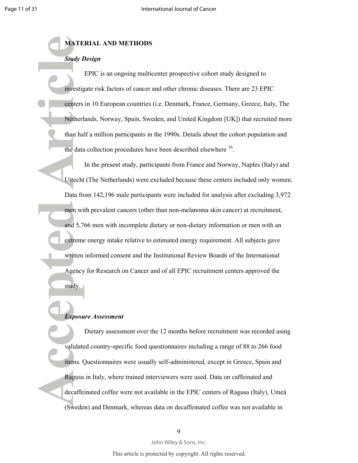# **MATERIAL AND METHODS**

# Study Design

EPIC is an ongoing multicenter prospective cohort study designed to investigate risk factors of cancer and other chronic diseases. There are 23 EPIC centers in 10 European countries (i.e. Denmark, France, Germany, Greece, Italy, The Netherlands, Norway, Spain, Sweden, and United Kingdom [UK]) that recruited more than half a million participants in the 1990s. Details about the cohort population and the data collection procedures have been described elsewhere <sup>16</sup>.

In the present study, participants from France and Norway, Naples (Italy) and Utrecht (The Netherlands) were excluded because these centers included only women. Data from 142,196 male participants were included for analysis after excluding 3,972 men with prevalent cancers (other than non-melanoma skin cancer) at recruitment, and 5,766 men with incomplete dietary or non-dietary information or men with an extreme energy intake relative to estimated energy requirement. All subjects gave written informed consent and the Institutional Review Boards of the International Agency for Research on Cancer and of all EPIC recruitment centers approved the study.

## **Exposure Assessment**

Dietary assessment over the 12 months before recruitment was recorded using validated country-specific food questionnaires including a range of 88 to 266 food items. Questionnaires were usually self-administered, except in Greece, Spain and Ragusa in Italy, where trained interviewers were used. Data on caffeinated and decaffeinated coffee were not available in the EPIC centers of Ragusa (Italy), Umeå (Sweden) and Denmark, whereas data on decaffeinated coffee was not available in

John Wiley & Sons, Inc.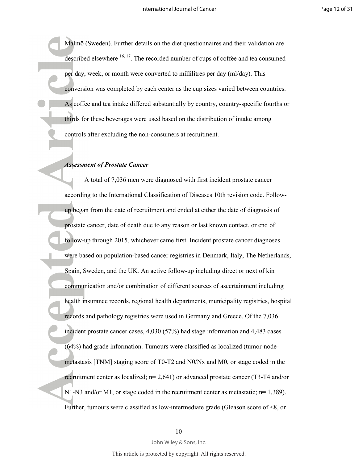Malmö (Sweden). Further details on the diet questionnaires and their validation are described elsewhere  $16, 17$ . The recorded number of cups of coffee and tea consumed per day, week, or month were converted to millilitres per day (ml/day). This conversion was completed by each center as the cup sizes varied between countries. As coffee and tea intake differed substantially by country, country-specific fourths or thirds for these beverages were used based on the distribution of intake among controls after excluding the non-consumers at recruitment.

## Assessment of Prostate Cancer

A total of 7,036 men were diagnosed with first incident prostate cancer according to the International Classification of Diseases 10th revision code. Follow up began from the date of recruitment and ended at either the date of diagnosis of prostate cancer, date of death due to any reason or last known contact, or end of follow-up through 2015, whichever came first. Incident prostate cancer diagnoses were based on population-based cancer registries in Denmark, Italy, The Netherlands, Spain, Sweden, and the UK. An active follow-up including direct or next of kin communication and/or combination of different sources of ascertainment including health insurance records, regional health departments, municipality registries, hospital records and pathology registries were used in Germany and Greece. Of the 7,036 incident prostate cancer cases, 4,030 (57%) had stage information and 4,483 cases  $(64%)$  had grade information. Tumours were classified as localized (tumor-nodemetastasis  $[TNM]$  staging score of T0-T2 and N0/Nx and M0, or stage coded in the recruitment center as localized;  $n= 2,641$  or advanced prostate cancer (T3-T4 and/or N1-N3 and/or M1, or stage coded in the recruitment center as metastatic;  $n= 1,389$ . Further, tumours were classified as low-intermediate grade (Gleason score of  $\leq 8$ , or

#### 10

#### John Wiley & Sons, Inc.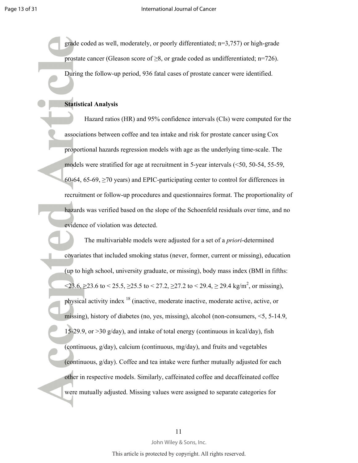grade coded as well, moderately, or poorly differentiated;  $n=3,757$ ) or high-grade prostate cancer (Gleason score of  $\geq 8$ , or grade coded as undifferentiated; n=726). During the follow-up period, 936 fatal cases of prostate cancer were identified.

## **Statistical Analysis**

Hazard ratios (HR) and 95% confidence intervals (CIs) were computed for the associations between coffee and tea intake and risk for prostate cancer using Cox proportional hazards regression models with age as the underlying timescale. The models were stratified for age at recruitment in 5-year intervals  $( $50, 50-54, 55-59$ ,$ 60-64, 65-69,  $\geq$ 70 years) and EPIC-participating center to control for differences in recruitment or followup procedures and questionnaires format. The proportionality of hazards was verified based on the slope of the Schoenfeld residuals over time, and no evidence of violation was detected.

The multivariable models were adjusted for a set of a *priori*-determined covariates that included smoking status (never, former, current or missing), education (up to high school, university graduate, or missing), body mass index (BMI in fifths:  $\leq$ 23.6, ≥23.6 to < 25.5, ≥25.5 to < 27.2, ≥27.2 to < 29.4, ≥ 29.4 kg/m<sup>2</sup>, or missing), physical activity index <sup>18</sup> (inactive, moderate inactive, moderate active, active, or missing), history of diabetes (no, yes, missing), alcohol (nonconsumers, <5, 514.9, 15-29.9, or  $>$ 30 g/day), and intake of total energy (continuous in kcal/day), fish (continuous, g/day), calcium (continuous, mg/day), and fruits and vegetables (continuous, g/day). Coffee and tea intake were further mutually adjusted for each other in respective models. Similarly, caffeinated coffee and decaffeinated coffee were mutually adjusted. Missing values were assigned to separate categories for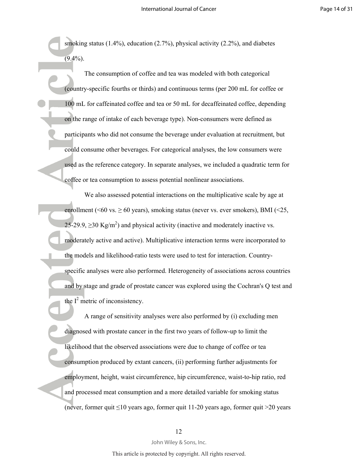smoking status (1.4%), education (2.7%), physical activity (2.2%), and diabetes  $(9.4\%)$ .

The consumption of coffee and tea was modeled with both categorical (countryspecific fourths or thirds) and continuous terms (per 200 mL for coffee or 100 mL for caffeinated coffee and tea or 50 mL for decaffeinated coffee, depending on the range of intake of each beverage type). Non-consumers were defined as participants who did not consume the beverage under evaluation at recruitment, but could consume other beverages. For categorical analyses, the low consumers were used as the reference category. In separate analyses, we included a quadratic term for coffee or tea consumption to assess potential nonlinear associations.

We also assessed potential interactions on the multiplicative scale by age at enrollment (<60 vs.  $\geq$  60 years), smoking status (never vs. ever smokers), BMI (<25, 25-29.9,  $\geq$ 30 Kg/m<sup>2</sup>) and physical activity (inactive and moderately inactive vs. moderately active and active). Multiplicative interaction terms were incorporated to the models and likelihood-ratio tests were used to test for interaction. Countryspecific analyses were also performed. Heterogeneity of associations across countries and by stage and grade of prostate cancer was explored using the Cochran's Q test and the  $I^2$  metric of inconsistency.

A range of sensitivity analyses were also performed by (i) excluding men diagnosed with prostate cancer in the first two years of follow-up to limit the likelihood that the observed associations were due to change of coffee or tea consumption produced by extant cancers, (ii) performing further adjustments for employment, height, waist circumference, hip circumference, waist-to-hip ratio, red and processed meat consumption and a more detailed variable for smoking status (never, former quit ≤10 years ago, former quit 1120 years ago, former quit >20 years

#### 12

#### John Wiley & Sons, Inc.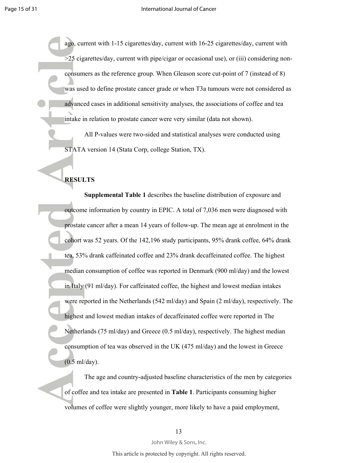ago, current with 115 cigarettes/day, current with 1625 cigarettes/day, current with >25 cigarettes/day, current with pipe/cigar or occasional use), or (iii) considering non consumers as the reference group. When Gleason score cut-point of 7 (instead of 8) was used to define prostate cancer grade or when T3a tumours were not considered as advanced cases in additional sensitivity analyses, the associations of coffee and tea intake in relation to prostate cancer were very similar (data not shown).

All P-values were two-sided and statistical analyses were conducted using STATA version 14 (Stata Corp, college Station, TX).

## **RESULTS**

**Supplemental Table 1** describes the baseline distribution of exposure and outcome information by country in EPIC. A total of 7,036 men were diagnosed with prostate cancer after a mean 14 years of followup. The mean age at enrolment in the cohort was 52 years. Of the 142,196 study participants, 95% drank coffee, 64% drank tea, 53% drank caffeinated coffee and 23% drank decaffeinated coffee. The highest median consumption of coffee was reported in Denmark (900 ml/day) and the lowest in Italy (91 ml/day). For caffeinated coffee, the highest and lowest median intakes were reported in the Netherlands (542 ml/day) and Spain (2 ml/day), respectively. The highest and lowest median intakes of decaffeinated coffee were reported in The Netherlands (75 ml/day) and Greece (0.5 ml/day), respectively. The highest median consumption of tea was observed in the UK (475 ml/day) and the lowest in Greece (0.5 ml/day).

The age and country-adjusted baseline characteristics of the men by categories of coffee and tea intake are presented in **Table 1**. Participants consuming higher volumes of coffee were slightly younger, more likely to have a paid employment,

John Wiley & Sons, Inc.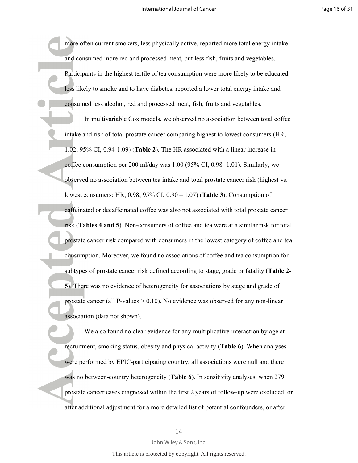more often current smokers, less physically active, reported more total energy intake and consumed more red and processed meat, but less fish, fruits and vegetables. Participants in the highest tertile of tea consumption were more likely to be educated, less likely to smoke and to have diabetes, reported a lower total energy intake and consumed less alcohol, red and processed meat, fish, fruits and vegetables.

In multivariable Cox models, we observed no association between total coffee intake and risk of total prostate cancer comparing highest to lowest consumers (HR, 1.02; 95% CI, 0.94-1.09) (**Table 2**). The HR associated with a linear increase in coffee consumption per 200 ml/day was 1.00 (95% CI, 0.98 1.01). Similarly, we observed no association between tea intake and total prostate cancer risk (highest vs. lowest consumers: HR, 0.98; 95% CI, 0.90 – 1.07) (**Table 3**). Consumption of caffeinated or decaffeinated coffee was also not associated with total prostate cancer risk (**Tables 4 and 5**). Non-consumers of coffee and tea were at a similar risk for total prostate cancer risk compared with consumers in the lowest category of coffee and tea consumption. Moreover, we found no associations of coffee and tea consumption for subtypes of prostate cancer risk defined according to stage, grade or fatality (**Table 2-/**). There was no evidence of heterogeneity for associations by stage and grade of prostate cancer (all P-values  $> 0.10$ ). No evidence was observed for any non-linear association (data not shown).

We also found no clear evidence for any multiplicative interaction by age at recruitment, smoking status, obesity and physical activity (**Table 6**). When analyses were performed by EPIC-participating country, all associations were null and there was no between-country heterogeneity (**Table 6**). In sensitivity analyses, when 279 prostate cancer cases diagnosed within the first 2 years of follow-up were excluded, or after additional adjustment for a more detailed list of potential confounders, or after

#### 14

John Wiley & Sons, Inc.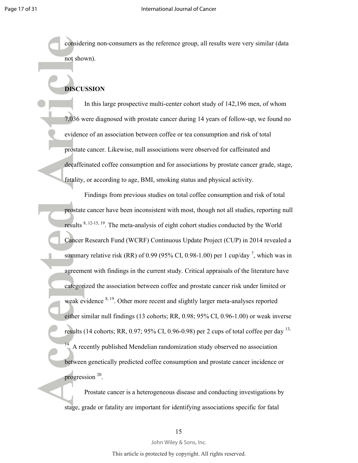considering non-consumers as the reference group, all results were very similar (data not shown).

# **DISCUSSION**

In this large prospective multi-center cohort study of  $142,196$  men, of whom 7,036 were diagnosed with prostate cancer during 14 years of follow-up, we found no evidence of an association between coffee or tea consumption and risk of total prostate cancer. Likewise, null associations were observed for caffeinated and decaffeinated coffee consumption and for associations by prostate cancer grade, stage, fatality, or according to age, BMI, smoking status and physical activity.

Findings from previous studies on total coffee consumption and risk of total prostate cancer have been inconsistent with most, though not all studies, reporting null results  $8, 12-15, 19$ . The meta-analysis of eight cohort studies conducted by the World Cancer Research Fund (WCRF) Continuous Update Project (CUP) in 2014 revealed a summary relative risk (RR) of 0.99 (95% CI, 0.98-1.00) per 1 cup/day<sup>7</sup>, which was in agreement with findings in the current study. Critical appraisals of the literature have categorized the association between coffee and prostate cancer risk under limited or weak evidence  $8, 19$ . Other more recent and slightly larger meta-analyses reported either similar null findings (13 cohorts; RR, 0.98; 95% CI, 0.961.00) or weak inverse results (14 cohorts; RR, 0.97; 95% CI, 0.96-0.98) per 2 cups of total coffee per day  $^{13}$ ,  $\frac{14}{3}$  A recently published Mendelian randomization study observed no association between genetically predicted coffee consumption and prostate cancer incidence or progression<sup>20</sup>.

Prostate cancer is a heterogeneous disease and conducting investigations by stage, grade or fatality are important for identifying associations specific for fatal

John Wiley & Sons, Inc.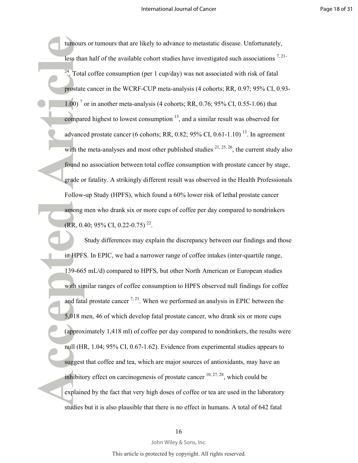tumours or tumours that are likely to advance to metastatic disease. Unfortunately, less than half of the available cohort studies have investigated such associations  $^{7,21}$ <sup>24</sup>. Total coffee consumption (per 1 cup/day) was not associated with risk of fatal prostate cancer in the WCRF-CUP meta-analysis (4 cohorts; RR, 0.97; 95% CI, 0.93-1.00)<sup>7</sup> or in another meta-analysis (4 cohorts; RR, 0.76; 95% CI, 0.55-1.06) that compared highest to lowest consumption  $\frac{13}{2}$ , and a similar result was observed for advanced prostate cancer (6 cohorts; RR,  $0.82$ ;  $95\%$  CI,  $0.61$ -1.10)<sup>13</sup>. In agreement with the meta-analyses and most other published studies  $2^{1, 25, 26}$ , the current study also found no association between total coffee consumption with prostate cancer by stage, grade or fatality. A strikingly different result was observed in the Health Professionals Follow-up Study (HPFS), which found a 60% lower risk of lethal prostate cancer among men who drank six or more cups of coffee per day compared to nondrinkers  $(RR, 0.40; 95\% \text{ CI}, 0.22-0.75)$ <sup>22</sup>.

Study differences may explain the discrepancy between our findings and those in HPFS. In EPIC, we had a narrower range of coffee intakes (inter-quartile range, 139-665 mL/d) compared to HPFS, but other North American or European studies with similar ranges of coffee consumption to HPFS observed null findings for coffee and fatal prostate cancer  $^{7, 21}$ . When we performed an analysis in EPIC between the 5,018 men, 46 of which develop fatal prostate cancer, who drank six or more cups (approximately 1,418 ml) of coffee per day compared to nondrinkers, the results were null (HR,  $1.04$ ;  $95\%$  CI,  $0.67-1.62$ ). Evidence from experimental studies appears to suggest that coffee and tea, which are major sources of antioxidants, may have an inhibitory effect on carcinogenesis of prostate cancer  $10, 27, 28$ , which could be explained by the fact that very high doses of coffee or tea are used in the laboratory studies but it is also plausible that there is no effect in humans. A total of 642 fatal

#### 16

#### John Wiley & Sons, Inc.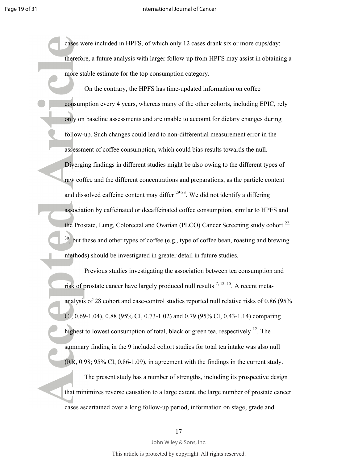#### International Journal of Cancer

cases were included in HPFS, of which only 12 cases drank six or more cups/day; therefore, a future analysis with larger followup from HPFS may assist in obtaining a more stable estimate for the top consumption category.

On the contrary, the HPFS has time-updated information on coffee consumption every 4 years, whereas many of the other cohorts, including EPIC, rely only on baseline assessments and are unable to account for dietary changes during follow-up. Such changes could lead to non-differential measurement error in the assessment of coffee consumption, which could bias results towards the null. Diverging findings in different studies might be also owing to the different types of raw coffee and the different concentrations and preparations, as the particle content and dissolved caffeine content may differ  $^{29-33}$ . We did not identify a differing association by caffeinated or decaffeinated coffee consumption, similar to HPFS and the Prostate, Lung, Colorectal and Ovarian (PLCO) Cancer Screening study cohort  $^{22}$ , <sup>30</sup>, but these and other types of coffee (e.g., type of coffee bean, roasting and brewing methods) should be investigated in greater detail in future studies.

Previous studies investigating the association between tea consumption and risk of prostate cancer have largely produced null results  $^{7, 12, 15}$ . A recent metaanalysis of 28 cohort and case-control studies reported null relative risks of 0.86 (95%) CI, 0.69-1.04), 0.88 (95% CI, 0.73-1.02) and 0.79 (95% CI, 0.43-1.14) comparing highest to lowest consumption of total, black or green tea, respectively  $^{12}$ . The summary finding in the 9 included cohort studies for total tea intake was also null  $(RR, 0.98; 95\% \text{ CI}, 0.86-1.09)$ , in agreement with the findings in the current study.

The present study has a number of strengths, including its prospective design that minimizes reverse causation to a large extent, the large number of prostate cancer cases ascertained over a long follow-up period, information on stage, grade and

John Wiley & Sons, Inc.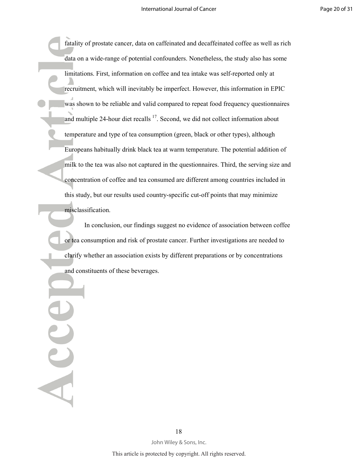fatality of prostate cancer, data on caffeinated and decaffeinated coffee as well as rich data on a wide-range of potential confounders. Nonetheless, the study also has some limitations. First, information on coffee and tea intake was self-reported only at recruitment, which will inevitably be imperfect. However, this information in EPIC was shown to be reliable and valid compared to repeat food frequency questionnaires and multiple 24-hour diet recalls  $17$ . Second, we did not collect information about temperature and type of tea consumption (green, black or other types), although Europeans habitually drink black tea at warm temperature. The potential addition of milk to the tea was also not captured in the questionnaires. Third, the serving size and concentration of coffee and tea consumed are different among countries included in this study, but our results used country-specific cut-off points that may minimize misclassification.

 In conclusion, our findings suggest no evidence of association between coffee or tea consumption and risk of prostate cancer. Further investigations are needed to clarify whether an association exists by different preparations or by concentrations and constituents of these beverages.

> 18 John Wiley & Sons, Inc.

Acce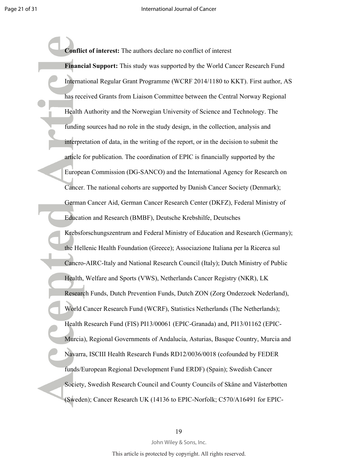**Conflict of interest:** The authors declare no conflict of interest **Financial Support:** This study was supported by the World Cancer Research Fund International Regular Grant Programme (WCRF 2014/1180 to KKT). First author, AS has received Grants from Liaison Committee between the Central Norway Regional Health Authority and the Norwegian University of Science and Technology. The funding sources had no role in the study design, in the collection, analysis and interpretation of data, in the writing of the report, or in the decision to submit the article for publication. The coordination of EPIC is financially supported by the European Commission (DG-SANCO) and the International Agency for Research on Cancer. The national cohorts are supported by Danish Cancer Society (Denmark); German Cancer Aid, German Cancer Research Center (DKFZ), Federal Ministry of Education and Research (BMBF), Deutsche Krebshilfe, Deutsches Krebsforschungszentrum and Federal Ministry of Education and Research (Germany); the Hellenic Health Foundation (Greece); Associazione Italiana per la Ricerca sul Cancro-AIRC-Italy and National Research Council (Italy); Dutch Ministry of Public Health, Welfare and Sports (VWS), Netherlands Cancer Registry (NKR), LK Research Funds, Dutch Prevention Funds, Dutch ZON (Zorg Onderzoek Nederland), World Cancer Research Fund (WCRF), Statistics Netherlands (The Netherlands); Health Research Fund (FIS) PI13/00061 (EPIC-Granada) and, PI13/01162 (EPIC-Murcia), Regional Governments of Andalucía, Asturias, Basque Country, Murcia and Navarra, ISCIII Health Research Funds RD12/0036/0018 (cofounded by FEDER funds/European Regional Development Fund ERDF) (Spain); Swedish Cancer Society, Swedish Research Council and County Councils of Skåne and Västerbotten (Sweden); Cancer Research UK (14136 to EPIC-Norfolk; C570/A16491 for EPIC-

19

John Wiley & Sons, Inc.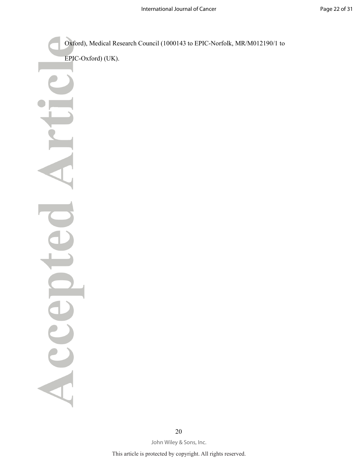Oxford), Medical Research Council (1000143 to EPIC-Norfolk, MR/M012190/1 to

EPIC-Oxford) (UK).

Acce

20 John Wiley & Sons, Inc.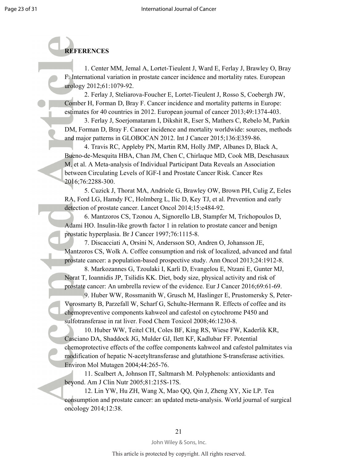# **REFERENCES**

1. Center MM, Jemal A, Lortet-Tieulent J, Ward E, Ferlay J, Brawley O, Bray F. International variation in prostate cancer incidence and mortality rates. European urology 2012;61:1079-92.

2. Ferlay J, Steliarova-Foucher E, Lortet-Tieulent J, Rosso S, Coebergh JW, Comber H, Forman D, Bray F. Cancer incidence and mortality patterns in Europe: estimates for 40 countries in 2012. European journal of cancer 2013;49:1374-403.

 3. Ferlay J, Soerjomataram I, Dikshit R, Eser S, Mathers C, Rebelo M, Parkin DM, Forman D, Bray F. Cancer incidence and mortality worldwide: sources, methods and major patterns in GLOBOCAN 2012. Int J Cancer 2015;136:E359-86.

 4. Travis RC, Appleby PN, Martin RM, Holly JMP, Albanes D, Black A, Bueno-de-Mesquita HBA, Chan JM, Chen C, Chirlaque MD, Cook MB, Deschasaux M, et al. A Meta-analysis of Individual Participant Data Reveals an Association between Circulating Levels of IGF-I and Prostate Cancer Risk. Cancer Res 2016;76:2288300.

 5. Cuzick J, Thorat MA, Andriole G, Brawley OW, Brown PH, Culig Z, Eeles RA, Ford LG, Hamdy FC, Holmberg L, Ilic D, Key TJ, et al. Prevention and early detection of prostate cancer. Lancet Oncol 2014;15:e484-92.

 6. Mantzoros CS, Tzonou A, Signorello LB, Stampfer M, Trichopoulos D, Adami HO. Insulin-like growth factor 1 in relation to prostate cancer and benign prostatic hyperplasia. Br J Cancer 1997;76:1115-8.

 7. Discacciati A, Orsini N, Andersson SO, Andren O, Johansson JE, Mantzoros CS, Wolk A. Coffee consumption and risk of localized, advanced and fatal prostate cancer: a population-based prospective study. Ann Oncol 2013;24:1912-8.

 8. Markozannes G, Tzoulaki I, Karli D, Evangelou E, Ntzani E, Gunter MJ, Norat T, Ioannidis JP, Tsilidis KK. Diet, body size, physical activity and risk of prostate cancer: An umbrella review of the evidence. Eur J Cancer 2016;69:61-69.

 9. Huber WW, Rossmanith W, Grusch M, Haslinger E, Prustomersky S, Peter Vorosmarty B, Parzefall W, Scharf G, Schulte-Hermann R. Effects of coffee and its chemopreventive components kahweol and cafestol on cytochrome P450 and sulfotransferase in rat liver. Food Chem Toxicol 2008;46:1230-8.

 10. Huber WW, Teitel CH, Coles BF, King RS, Wiese FW, Kaderlik KR, Casciano DA, Shaddock JG, Mulder GJ, Ilett KF, Kadlubar FF. Potential chemoprotective effects of the coffee components kahweol and cafestol palmitates via modification of hepatic N-acetyltransferase and glutathione S-transferase activities. Environ Mol Mutagen 2004;44:265-76.

 11. Scalbert A, Johnson IT, Saltmarsh M. Polyphenols: antioxidants and beyond. Am J Clin Nutr 2005;81:215S-17S.

 12. Lin YW, Hu ZH, Wang X, Mao QQ, Qin J, Zheng XY, Xie LP. Tea consumption and prostate cancer: an updated meta-analysis. World journal of surgical oncology 2014;12:38.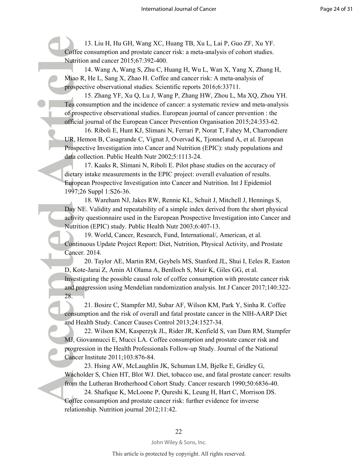13. Liu H, Hu GH, Wang XC, Huang TB, Xu L, Lai P, Guo ZF, Xu YF. Coffee consumption and prostate cancer risk: a meta-analysis of cohort studies. Nutrition and cancer 2015;67:392-400.

 14. Wang A, Wang S, Zhu C, Huang H, Wu L, Wan X, Yang X, Zhang H, Miao R, He L, Sang X, Zhao H. Coffee and cancer risk: A meta-analysis of prospective observational studies. Scientific reports 2016;6:33711.

 15. Zhang YF, Xu Q, Lu J, Wang P, Zhang HW, Zhou L, Ma XQ, Zhou YH. Tea consumption and the incidence of cancer: a systematic review and meta-analysis of prospective observational studies. European journal of cancer prevention : the official journal of the European Cancer Prevention Organisation 2015;24:353-62.

 16. Riboli E, Hunt KJ, Slimani N, Ferrari P, Norat T, Fahey M, Charrondiere UR, Hemon B, Casagrande C, Vignat J, Overvad K, Tjonneland A, et al. European Prospective Investigation into Cancer and Nutrition (EPIC): study populations and data collection. Public Health Nutr 2002;5:1113-24.

 17. Kaaks R, Slimani N, Riboli E. Pilot phase studies on the accuracy of dietary intake measurements in the EPIC project: overall evaluation of results. European Prospective Investigation into Cancer and Nutrition. Int J Epidemiol 1997;26 Suppl 1:S2636.

 18. Wareham NJ, Jakes RW, Rennie KL, Schuit J, Mitchell J, Hennings S, Day NE. Validity and repeatability of a simple index derived from the short physical activity questionnaire used in the European Prospective Investigation into Cancer and Nutrition (EPIC) study. Public Health Nutr 2003;6:407-13.

 19. World, Cancer, Research, Fund, International/, American, et al. Continuous Update Project Report: Diet, Nutrition, Physical Activity, and Prostate Cancer. 2014.

 20. Taylor AE, Martin RM, Geybels MS, Stanford JL, Shui I, Eeles R, Easton D, Kote-Jarai Z, Amin Al Olama A, Benlloch S, Muir K, Giles GG, et al.

Investigating the possible causal role of coffee consumption with prostate cancer risk and progression using Mendelian randomization analysis. Int J Cancer 2017;140:322 28.

 21. Bosire C, Stampfer MJ, Subar AF, Wilson KM, Park Y, Sinha R. Coffee consumption and the risk of overall and fatal prostate cancer in the NIH-AARP Diet and Health Study. Cancer Causes Control 2013;24:1527-34.

 22. Wilson KM, Kasperzyk JL, Rider JR, Kenfield S, van Dam RM, Stampfer MJ, Giovannucci E, Mucci LA. Coffee consumption and prostate cancer risk and progression in the Health Professionals Followup Study. Journal of the National Cancer Institute 2011;103:876-84.

 23. Hsing AW, McLaughlin JK, Schuman LM, Bjelke E, Gridley G, Wacholder S, Chien HT, Blot WJ. Diet, tobacco use, and fatal prostate cancer: results from the Lutheran Brotherhood Cohort Study. Cancer research 1990;50:6836-40.

 24. Shafique K, McLoone P, Qureshi K, Leung H, Hart C, Morrison DS. Coffee consumption and prostate cancer risk: further evidence for inverse relationship. Nutrition journal 2012;11:42.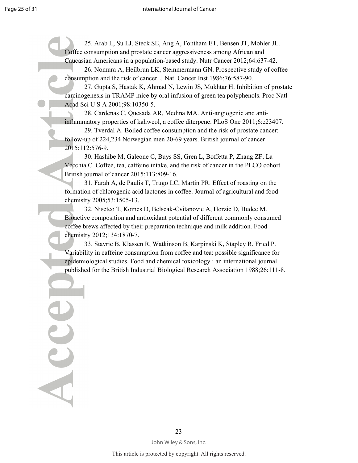I

Acce

 25. Arab L, Su LJ, Steck SE, Ang A, Fontham ET, Bensen JT, Mohler JL. Coffee consumption and prostate cancer aggressiveness among African and Caucasian Americans in a population-based study. Nutr Cancer 2012;64:637-42. 26. Nomura A, Heilbrun LK, Stemmermann GN. Prospective study of coffee

consumption and the risk of cancer. J Natl Cancer Inst 1986;76:587-90.

 27. Gupta S, Hastak K, Ahmad N, Lewin JS, Mukhtar H. Inhibition of prostate carcinogenesis in TRAMP mice by oral infusion of green tea polyphenols. Proc Natl Acad Sci U S A 2001;98:10350-5.

28. Cardenas C, Quesada AR, Medina MA. Anti-angiogenic and antiinflammatory properties of kahweol, a coffee diterpene. PLoS One 2011;6:e23407.

 29. Tverdal A. Boiled coffee consumption and the risk of prostate cancer: follow-up of 224,234 Norwegian men 20-69 years. British journal of cancer 2015;112:576-9.

 30. Hashibe M, Galeone C, Buys SS, Gren L, Boffetta P, Zhang ZF, La Vecchia C. Coffee, tea, caffeine intake, and the risk of cancer in the PLCO cohort. British journal of cancer  $2015$ ; 113:809-16.

 31. Farah A, de Paulis T, Trugo LC, Martin PR. Effect of roasting on the formation of chlorogenic acid lactones in coffee. Journal of agricultural and food chemistry 2005;53:1505-13.

32. Niseteo T, Komes D, Belscak-Cvitanovic A, Horzic D, Budec M. Bioactive composition and antioxidant potential of different commonly consumed coffee brews affected by their preparation technique and milk addition. Food chemistry 2012;134:1870-7.

 33. Stavric B, Klassen R, Watkinson B, Karpinski K, Stapley R, Fried P. Variability in caffeine consumption from coffee and tea: possible significance for epidemiological studies. Food and chemical toxicology : an international journal published for the British Industrial Biological Research Association 1988;26:111-8.

> 23 John Wiley & Sons, Inc.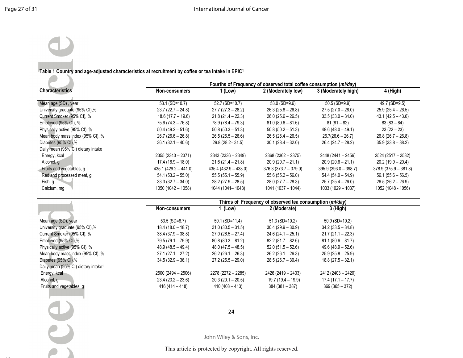#### Table 1 Country and age-adjusted characteristics at recruitment by coffee or tea intake in EPIC1

|                                    | Fourths of Frequency of observed total coffee consumption (ml/day) |                        |                         |                        |                        |  |  |
|------------------------------------|--------------------------------------------------------------------|------------------------|-------------------------|------------------------|------------------------|--|--|
| <b>Characteristics</b>             | Non-consumers                                                      | 1 (Low)                | 2 (Moderately low)      | 3 (Moderately high)    | 4 (High)               |  |  |
| Mean age (SD), year                | 53.1 (SD=10.7)                                                     | 52.7 (SD=10.7)         | $53.0$ (SD=9.6)         | $50.5$ (SD=9.9)        | 49.7 (SD=9.5)          |  |  |
| University graduate (95% CI),%     | $23.7(22.7 - 24.8)$                                                | $27.7(27.3 - 28.2)$    | $26.3(25.8 - 26.8)$     | $27.5(27.0 - 28.0)$    | $25.9(25.4 - 26.5)$    |  |  |
| Current Smoker (95% CI), %         | $18.6(17.7 - 19.6)$                                                | $21.8(21.4 - 22.3)$    | $26.0(25.6 - 26.5)$     | $33.5(33.0 - 34.0)$    | $43.1 (42.5 - 43.6)$   |  |  |
| Employed (95% CI), %               | $75.6(74.3 - 76.8)$                                                | $78.9(78.4 - 79.3)$    | $81.0(80.6 - 81.6)$     | $81(81 - 82)$          | $83(83-84)$            |  |  |
| Physically active (95% CI), %      | $50.4(49.2 - 51.6)$                                                | $50.8(50.3 - 51.3)$    | $50.8(50.2 - 51.3)$     | $48.6(48.0 - 49.1)$    | $23(22 - 23)$          |  |  |
| Mean body mass index (95% CI), %   | $26.7(26.6 - 26.8)$                                                | $26.5(26.5-26.6)$      | $26.5(26.4 - 26.5)$     | $26.7(26.6 - 26.7)$    | $26.8(26.7 - 26.8)$    |  |  |
| Diabetes (95% CI),%                | $36.1(32.1 - 40.6)$                                                | 29.8 (28.2 - 31.5)     | $30.1(28.4 - 32.0)$     | $26.4(24.7 - 28.2)$    | $35.9(33.8 - 38.2)$    |  |  |
| Daily mean (95% CI) dietary intake |                                                                    |                        |                         |                        |                        |  |  |
| Energy, kcal                       | 2355 (2340 - 2371)                                                 | 2343 (2336 - 2349)     | 2368 (2362 - 2375)      | 2448 (2441 - 2456)     | 2524 (2517 - 2532)     |  |  |
| Alcohol, g                         | $17.4(16.9 - 18.0)$                                                | $21.6(21.4 - 21.8)$    | $20.9(20.7 - 21.1)$     | $20.9(20.6 - 21.1)$    | $20.2(19.9 - 20.4)$    |  |  |
| Fruits and vegetables, g           | $435.1 (429.2 - 441.0)$                                            | $435.4(432.9 - 438.0)$ | $376.3 (373.7 - 379.0)$ | $395.9(393.0 - 398.7)$ | $378.9(375.9 - 381.8)$ |  |  |
| Red and processed meat, g          | $54.1(53.2 - 55.0)$                                                | $55.5(55.1 - 55.9)$    | $55.6(55.2 - 56.0)$     | $54.4(54.0 - 54.9)$    | $56.1(55.6 - 56.5)$    |  |  |
| Fish, g                            | $33.3(32.7 - 34.0)$                                                | $28.2(27.9 - 28.5)$    | $28.0(27.7 - 28.3)$     | $25.7(25.4 - 26.0)$    | $26.5(26.2 - 26.9)$    |  |  |
| Calcium, mg                        | 1050 (1042 - 1058)                                                 | 1044 (1041 - 1048)     | $1041(1037 - 1044)$     | 1033 (1029 - 1037)     | 1052 (1048 - 1056)     |  |  |

|                                                 | Thirds of Frequency of observed tea consumption (ml/day) |                     |                     |                     |  |
|-------------------------------------------------|----------------------------------------------------------|---------------------|---------------------|---------------------|--|
|                                                 | Non-consumers                                            | (Low)               | 2 (Moderate)        | 3 (High)            |  |
| Mean age (SD), year                             | $53.5$ (SD=8.7)                                          | $50.1$ (SD=11.4)    | $51.3$ (SD=10.2)    | $50.9$ (SD=10.2)    |  |
| University graduate (95% CI),%                  | $18.4(18.0 - 18.7)$                                      | $31.0(30.5 - 31.5)$ | $30.4(29.9 - 30.9)$ | $34.2(33.5 - 34.8)$ |  |
| Current Smoker (95% CI), %                      | $38.4(37.9 - 38.8)$                                      | $27.0(26.5 - 27.4)$ | $24.6(24.1 - 25.1)$ | $21.7(21.1 - 22.3)$ |  |
| Employed (95% CI),%                             | $79.5(79.1 - 79.9)$                                      | $80.8(80.3 - 81.2)$ | $82.2(81.7 - 82.6)$ | $81.1(80.6 - 81.7)$ |  |
| Physically active (95% CI), %                   | $48.9(48.5 - 49.4)$                                      | $48.0(47.5 - 48.5)$ | $52.0(51.5 - 52.6)$ | $49.6(48.9 - 52.6)$ |  |
| Mean body mass index (95% CI), %                | $27.1(27.1 - 27.2)$                                      | $26.2(26.1 - 26.3)$ | $26.2(26.1 - 26.3)$ | $25.9(25.8 - 25.9)$ |  |
| Diabetes (95% CI),%                             | $34.5(32.9 - 36.1)$                                      | $27.2(25.5 - 29.0)$ | $28.5(26.7 - 30.4)$ | $18.8(27.5 - 32.1)$ |  |
| Daily mean (95% CI) dietary intake <sup>1</sup> |                                                          |                     |                     |                     |  |
| Energy, kcal                                    | 2500 (2494 - 2506)                                       | 2278 (2272 - 2285)  | 2426 (2419 - 2433)  | 2412 (2403 - 2420)  |  |
| Alcohol, g                                      | $23.4(23.2 - 23.6)$                                      | $20.3(20.1 - 20.5)$ | $19.7(19.4 - 19.9)$ | $17.4(17.1 - 17.7)$ |  |
| Fruits and vegetables, g                        | $416(414 - 418)$                                         | $410(408 - 413)$    | $384(381 - 387)$    | $369(365 - 372)$    |  |



╲

24

John Wiley & Sons, Inc.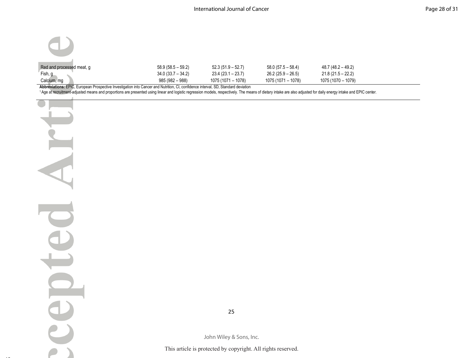| Calcium, mg               | 985 (982 – 988)     | 1075 (1071 – 1078)  | 1075 (1071 - 1078)  | 1075 (1070 - 1079)  |
|---------------------------|---------------------|---------------------|---------------------|---------------------|
| Fish, g                   | $34.0(33.7 - 34.2)$ | 23.4 (23.1 – 23.7)  | $26.2(25.9 - 26.5)$ | $21.8(21.5 - 22.2)$ |
| Red and processed meat, g | $58.9(58.5 - 59.2)$ | $52.3(51.9 - 52.7)$ | $58.0(57.5 - 58.4)$ | 48.7 (48.2 – 49.2)  |
|                           |                     |                     |                     |                     |
|                           |                     |                     |                     |                     |

Abbreviations: EPIC, European Prospective Investigation into Cancer and Nutrition, CI, confidence interval, SD, Standard deviation

<sup>1</sup>Age at recruitment-adjusted means and proportions are presented using linear and logistic regression models, respectively. The means of dietary intake are also adjusted for daily energy intake and EPIC center.

╲

25

John Wiley & Sons, Inc.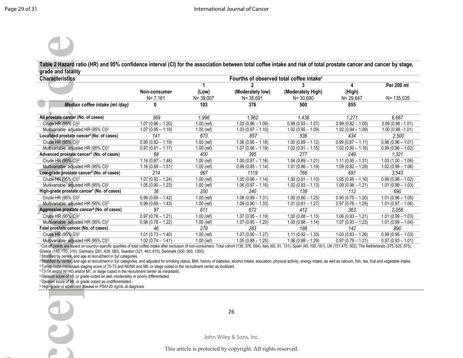Table 2 Hazard ratio (HR) and 95% confidence interval (CI) for the association between total coffee intake and risk of total prostate cancer and cancer by stage, grade and fatality

| <b>Characteristics</b>                                 |                     |              |                     | Fourths of observed total coffee intake <sup>1</sup> |                     |                     |  |
|--------------------------------------------------------|---------------------|--------------|---------------------|------------------------------------------------------|---------------------|---------------------|--|
|                                                        |                     |              |                     |                                                      |                     | Per 200 ml          |  |
|                                                        | Non-consumer        | (Low)        | (Moderately low)    | (Moderately High)                                    | (High)              |                     |  |
|                                                        | $N = 7,161$         | $N = 39,007$ | $N = 35,691$        | N= 30,690                                            | $N = 29,647$        | $N = 135,035$       |  |
| Median coffee intake (ml /day)                         |                     | 103          | 376                 | 500                                                  | 855                 |                     |  |
|                                                        |                     |              |                     |                                                      |                     |                     |  |
| All prostate cancer (No. of cases)                     | 369                 | 1,996        | 1.962               | 1,438                                                | 1.271               | 6,667               |  |
| Crude HR $(95\% \text{ Cl})^2$                         | $1.07(0.96 - 1.20)$ | $1.00$ (ref) | $1.02(0.96 - 1.09)$ | $0.99(0.93 - 1.07)$                                  | $0.99(0.82 - 1.05)$ | $0.99(0.98 - 1.01)$ |  |
| Multivariable adjusted HR (95% CI) <sup>3</sup>        | $1.07(0.95 - 1.19)$ | $1.00$ (ref) | $1.03(0.97 - 1.10)$ | $1.02(0.95 - 1.09)$                                  | $1.02(0.94 - 1.09)$ | $1.00(0.98 - 1.01)$ |  |
| Localized prostate cancer <sup>4</sup> (No. of cases)  | 141                 | 673          | 857                 | 536                                                  | 434                 | 2,500               |  |
| Crude HR (95% CI) <sup>2</sup>                         | $0.99(0.82 - 1.19)$ | $1.00$ (ref) | $1.06(0.95 - 1.18)$ | $1.00(0.89 - 1.12)$                                  | $0.99(0.87 - 1.11)$ | $0.98(0.96 - 1.01)$ |  |
| Multivariable adjusted HR (95% CI) <sup>3</sup>        | $0.97(0.81 - 1.17)$ | $1.00$ (ref) | $1.07(0.96 - 1.19)$ | $1.02(0.91 - 1.15)$                                  | $1.02(0.90 - 1.16)$ | $0.99(0.96 - 1.02)$ |  |
| Advanced prostate cancer <sup>5</sup> (No. of cases)   | 68                  | 400          | 395                 | 277                                                  | 249                 | 1,321               |  |
| Crude HR (95% CI) <sup>2</sup>                         | $1.14(0.87 - 1.48)$ | $1.00$ (ref) | $1.00(0.87 - 1.16)$ | $1.04(0.89 - 1.21)$                                  | $1.11(0.95 - 1.31)$ | $1.03(1.00 - 1.06)$ |  |
| Multivariable adjusted HR (95% CI) <sup>3</sup>        | $1.16(0.89 - 1.51)$ | $1.00$ (ref) | $0.99(0.85 - 1.14)$ | $1.01(0.86 - 1.19)$                                  | $1.09(0.92 - 1.29)$ | $1.02(0.99 - 1.06)$ |  |
| Low-grade prostate cancer <sup>6</sup> (No. of cases)  | 214                 | 967          | 1119                | 766                                                  | 691                 | 3,543               |  |
| Crude HR (95% CI) <sup>2</sup>                         | $1.07(0.92 - 1.24)$ | $1.00$ (ref) | $1.05(0.96 - 1.14)$ | $1.00(0.91 - 1.10)$                                  | $1.05(0.95 - 1.16)$ | $0.99(0.98 - 1.02)$ |  |
| Multivariable adjusted HR (95% CI) <sup>3</sup>        | $1.05(0.90 - 1.23)$ | $1.00$ (ref) | $1.06(0.97 - 1.16)$ | $1.02(0.93 - 1.13)$                                  | $1.09(0.98 - 1.21)$ | $1.01(0.99 - 1.03)$ |  |
| High-grade prostate cancer <sup>7</sup> (No. of cases) | 36                  | 200          | 240                 | 138                                                  | 112                 | 690                 |  |
| Crude HR (95% CI) <sup>2</sup>                         | $0.99(0.69 - 1.42)$ | $1.00$ (ref) | $1.08(0.89 - 1.31)$ | $1.00(0.80 - 1.25)$                                  | $0.95(0.75 - 1.20)$ | $1.01(0.96 - 1.05)$ |  |
| Multivariable adjusted HR (95% CI) <sup>3</sup>        | $0.99(0.69 - 1.43)$ | $1.00$ (ref) | $1.09(0.90 - 1.33)$ | $1.01(0.81 - 1.27)$                                  | $0.97(0.76 - 1.25)$ | $1.01(0.97 - 1.06)$ |  |
| Aggressive prostate cancer <sup>8</sup> (No. of cases) | 97                  | 611          | 672                 | 412                                                  | 363                 | 2,058               |  |
| Crude HR (95% CI) <sup>2</sup>                         | $0.97(0.78 - 1.21)$ | $1.00$ (ref) | $1.07(0.95 - 1.19)$ | $1.00(0.88 - 1.13)$                                  | $1.06(0.93 - 1.21)$ | $1.01(0.99 - 1.03)$ |  |
| Multivariable adjusted HR (95% CI) <sup>3</sup>        | $0.98(0.78 - 1.22)$ | $1.00$ (ref) | $1.07(0.95 - 1.20)$ | $1.00(0.88 - 1.14)$                                  | $1.07(0.93 - 1.23)$ | $1.01(0.99 - 1.04)$ |  |
| Fatal prostate cancer (No. of cases)                   | 46                  | 279          | 283                 | 186                                                  | 142                 | 890                 |  |
| Crude HR (95% CI) <sup>2</sup>                         | $1.01(0.73 - 1.40)$ | $1.00$ (ref) | $1.07(0.90 - 1.27)$ | $1.11(0.92 - 1.33)$                                  | $1.03(0.83 - 1.26)$ | $0.99(0.95 - 1.03)$ |  |
| Multivariable adjusted HR (95% CI) <sup>3</sup>        | $1.02(0.74 - 1.41)$ | $1.00$ (ref) | $1.05(0.88 - 1.25)$ | $1.06(0.88 - 1.29)$                                  | $0.97(0.79 - 1.21)$ | $0.97(0.93 - 1.01)$ |  |

1 Cut-off points are based on country-specific quartiles of total coffee intake after exclusion of non-consumers: Total cohort (136, 376, 654), Italy (60, 91, 131), Spain (49, 100, 161), UK (151,475, 502), The Netherlands Greece (140, 170, 310), Germany (261, 428, 580), Sweden (321, 443, 610), Denmark (500, 900, 1300).

<sup>2</sup>Stratified by center, and age at recruitment in 5yr categories.

<sup>3</sup> Stratified by center, and age at recruitment in 5yr categories, and adjusted for smoking status, BMI, history of diabetes, alcohol intake, education, physical activity, energy intake, as well as calcium, fish, tea, fru

4 Tumor-node-metastasis staging score of T0-T2 and N0/NX and M0, or stage coded in the recruitment center as localized.

<sup>5</sup>T3-T4 and/or N1-N3 and/or M1, or stage coded in the recruitment center as metastatic.

<sup>6</sup>Gleason score of <8, or grade coded as well, moderately or poorly differentiated.

<sup>7</sup>Gleason score of ≥8, or grade coded as undifferentiated.

<sup>8</sup> High-grade or advanced disease or PSA>20 ng/mL at diagnosis

26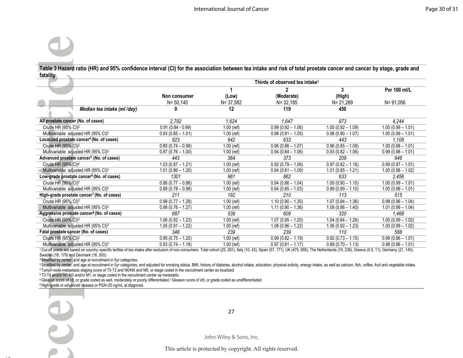Table 3 Hazard ratio (HR) and 95% confidence interval (CI) for the association between tea intake and risk of total prostate cancer and cancer by stage, grade and **--**   $\sim$ 

| $\overline{\phantom{a}}$                               | Thirds of observed tea intake <sup>1</sup> |              |                     |                     |                     |  |
|--------------------------------------------------------|--------------------------------------------|--------------|---------------------|---------------------|---------------------|--|
|                                                        |                                            |              |                     | 3                   | Per 100 ml/L        |  |
|                                                        | Non consumer                               | (Low)        | (Moderate)          | (High)              |                     |  |
|                                                        | $N = 50,140$                               | $N = 37,582$ | $N = 32,185$        | $N = 21,289$        | $N = 91,056$        |  |
| Median tea intake (ml /day)                            |                                            | 12           | 119                 | 450                 |                     |  |
| All prostate cancer (No. of cases)                     | 2.792                                      | 1.624        | 1,647               | 973                 | 4,244               |  |
| Crude HR (95% CI) <sup>2</sup>                         | $0.91(0.84 - 0.99)$                        | $1.00$ (ref) | $0.99(0.92 - 1.06)$ | $1.00(0.92 - 1.09)$ | $1.00(0.99 - 1.01)$ |  |
| Multivariable adjusted HR (95% CI)3                    | $0.93(0.85 - 1.01)$                        | $1.00$ (ref) | $0.98(0.91 - 1.05)$ | $0.98(0.90 - 1.07)$ | $1.00(0.99 - 1.01)$ |  |
| Localized prostate cancer <sup>4</sup> (No. of cases)  | 923                                        | 642          | 633                 | 443                 | 1,108               |  |
| Crude HR (95% CI) <sup>2</sup>                         | $0.85(0.74 - 0.98)$                        | $1.00$ (ref) | $0.96(0.86 - 1.07)$ | $0.96(0.85 - 1.09)$ | $1.00(0.98 - 1.01)$ |  |
| Multivariable adjusted HR (95% CI)3                    | $0.87(0.76 - 1.00)$                        | $1.00$ (ref) | $0.94(0.84 - 1.06)$ | $0.93(0.82 - 1.06)$ | $0.99(0.98 - 1.01)$ |  |
| Advanced prostate cancer <sup>5</sup> (No. of cases)   | 443                                        | 364          | 373                 | 209                 | 946                 |  |
| Crude HR (95% CI) <sup>2</sup>                         | $1.03(0.87 - 1.21)$                        | $1.00$ (ref) | $0.92(0.79 - 1.06)$ | $0.97(0.82 - 1.16)$ | $0.99(0.97 - 1.01)$ |  |
| Multivariable adjusted HR (95% CI) <sup>3</sup>        | $1.01(0.86 - 1.20)$                        | $1.00$ (ref) | $0.94(0.81 - 1.09)$ | $1.01(0.85 - 1.21)$ | $1.00(0.98 - 1.02)$ |  |
| Low-grade prostate cancer <sup>6</sup> (No. of cases)  | 1301                                       | 961          | 862                 | 633                 | 2,456               |  |
| Crude HR (95% CI) <sup>2</sup>                         | $0.86(0.77 - 0.96)$                        | $1.00$ (ref) | $0.94(0.86 - 1.04)$ | $1.00(0.90 - 1.10)$ | $1.00(0.99 - 1.01)$ |  |
| Multivariable adjusted HR (95% CI)3                    | $0.88(0.78 - 0.98)$                        | $1.00$ (ref) | $0.94(0.85 - 1.03)$ | $0.99(0.89 - 1.10)$ | $1.00(0.98 - 1.01)$ |  |
| High-grade prostate cancer <sup>7</sup> (No. of cases) | 211                                        | 192          | 210                 | 113                 | 515                 |  |
| Crude HR (95% CI) <sup>2</sup>                         | $0.99(0.77 - 1.28)$                        | $1.00$ (ref) | $1.10(0.90 - 1.35)$ | $1.07(0.84 - 1.36)$ | $0.98(0.96 - 1.04)$ |  |
| Multivariable adjusted HR (95% CI) <sup>3</sup>        | $0.98(0.76 - 1.27)$                        | $1.00$ (ref) | $1.11(0.90 - 1.36)$ | $1.09(0.86 - 1.40)$ | $1.01(0.99 - 1.04)$ |  |
| Aggressive prostate cancer <sup>8</sup> (No. of cases) | 687                                        | 539          | 609                 | 320                 | 1.468               |  |
| Crude HR (95% CI) <sup>2</sup>                         | $1.06(0.92 - 1.23)$                        | $1.00$ (ref) | $1.07(0.95 - 1.20)$ | $1.04(0.84 - 1.26)$ | $1.00(0.99 - 1.02)$ |  |
| Multivariable adjusted HR (95% CI) <sup>3</sup>        | $1.05(0.91 - 1.22)$                        | $1.00$ (ref) | $1.08(0.96 - 1.22)$ | $1.06(0.92 - 1.23)$ | $1.00(0.99 - 1.02)$ |  |
| Fatal prostate cancer (No. of cases)                   | 348                                        | 239          | 239                 | 110                 | 588                 |  |
| Crude HR (95% CI) <sup>2</sup>                         | $0.95(0.75 - 1.20)$                        | $1.00$ (ref) | $0.99(0.82 - 1.19)$ | $0.92(0.73 - 1.15)$ | $0.99(0.96 - 1.01)$ |  |
| Multivariable adjusted HR (95% CI) <sup>3</sup>        | $0.93(0.74 - 1.18)$                        | $1.00$ (ref) | $0.97(0.81 - 1.17)$ | $0.89(0.70 - 1.13)$ | $0.98(0.96 - 1.01)$ |  |

1 Cut-off points are based on country-specific tertiles of tea intake after exclusion of non-consumers: Total cohort (25, 281), Italy (10, 43), Spain (57, 171), UK (475, 855), The Netherlands (74, 238), Greece (0.5, 11), G Sweden (16, 179) and Denmark (16, 500).

<sup>2</sup>Stratified by center, and age at recruitment in 5yr categories.

3 Stratified by center, and age at recruitment in 5yr categories, and adjusted for smoking status, BMI, history of diabetes, alcohol intake, education, physical activity, energy intake, as well as calcium, fish, coffee, fr

<sup>4</sup> Tumor-node-metastasis staging score of T0-T2 and N0/NX and M0, or stage coded in the recruitment center as localized.

5T3-T4 and/or N1-N3 and/or M1, or stage coded in the recruitment center as metastatic.

<sup>6</sup>Gleason score of <8, or grade coded as well, moderately or poorly differentiated.7 Gleason score of ≥8, or grade coded as undifferentiated.

8 High-grade or advanced disease or PSA>20 ng/mL at diagnosis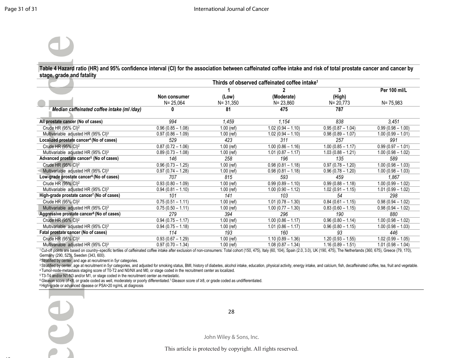## Table 4 Hazard ratio (HR) and 95% confidence interval (CI) for the association between caffeinated coffee intake and risk of total prostate cancer and cancer by stage, grade and fatality

|                                                       | Thirds of observed caffeinated coffee intake <sup>1</sup> |              |                     |                     |                     |  |
|-------------------------------------------------------|-----------------------------------------------------------|--------------|---------------------|---------------------|---------------------|--|
|                                                       |                                                           |              |                     | 3                   | Per 100 ml/L        |  |
|                                                       | Non consumer                                              | (Low)        | (Moderate)          | (High)              |                     |  |
|                                                       | $N = 25,064$                                              | $N = 31,350$ | $N = 23,860$        | $N = 20,773$        | $N = 75,983$        |  |
| Median caffeinated coffee intake (ml /day)            | 0                                                         | 81           | 475                 | 787                 |                     |  |
| All prostate cancer (No of cases)                     | 994                                                       | 1,459        | 1,154               | 838                 | 3,451               |  |
| Crude HR (95% CI) <sup>2</sup>                        | $0.96(0.85 - 1.08)$                                       | $1.00$ (ref) | $1.02(0.94 - 1.10)$ | $0.95(0.87 - 1.04)$ | $0.99(0.98 - 1.00)$ |  |
| Multivariable adjusted HR (95% CI) <sup>3</sup>       | $0.97(0.86 - 1.09)$                                       | $1.00$ (ref) | $1.02(0.94 - 1.10)$ | $0.98(0.89 - 1.07)$ | $1.00(0.99 - 1.01)$ |  |
| Localized prostate cancer <sup>4</sup> (No of cases)  | 529                                                       | 423          | 311                 | 257                 | 991                 |  |
| Crude HR (95% CI) <sup>2</sup>                        | $0.87(0.72 - 1.06)$                                       | $1.00$ (ref) | $1.00(0.86 - 1.16)$ | $1.00(0.85 - 1.17)$ | $0.99(0.97 - 1.01)$ |  |
| Multivariable adjusted HR (95% CI) <sup>3</sup>       | $0.89(0.73 - 1.08)$                                       | $1.00$ (ref) | $1.01(0.87 - 1.17)$ | $1.03(0.88 - 1.21)$ | $1.00(0.98 - 1.02)$ |  |
| Advanced prostate cancer <sup>5</sup> (No of cases)   | 146                                                       | 258          | 196                 | 135                 | 589                 |  |
| Crude HR (95% CI) <sup>2</sup>                        | $0.96(0.73 - 1.25)$                                       | $1.00$ (ref) | $0.98(0.81 - 1.18)$ | $0.97(0.78 - 1.20)$ | $1.00(0.98 - 1.03)$ |  |
| Multivariable adjusted HR (95% CI) <sup>3</sup>       | $0.97(0.74 - 1.28)$                                       | $1.00$ (ref) | $0.98(0.81 - 1.18)$ | $0.96(0.78 - 1.20)$ | $1.00(0.98 - 1.03)$ |  |
| Low-grade prostate cancer <sup>6</sup> (No of cases)  | 707                                                       | 815          | 593                 | 459                 | 1,867               |  |
| Crude HR (95% CI) <sup>2</sup>                        | $0.93(0.80 - 1.09)$                                       | $1.00$ (ref) | $0.99(0.89 - 1.10)$ | $0.99(0.88 - 1.18)$ | $1.00(0.99 - 1.02)$ |  |
| Multivariable adjusted HR (95% CI) <sup>3</sup>       | $0.94(0.81 - 1.10)$                                       | $1.00$ (ref) | $1.00(0.90 - 1.12)$ | $1.02(0.91 - 1.15)$ | $1.01(0.99 - 1.02)$ |  |
| High-grade prostate cancer <sup>7</sup> (No of cases) | 101                                                       | 141          | 103                 | 54                  | 298                 |  |
| Crude HR (95% CI) <sup>2</sup>                        | $0.75(0.51 - 1.11)$                                       | $1.00$ (ref) | $1.01(0.78 - 1.30)$ | $0.84(0.61 - 1.15)$ | $0.98(0.94 - 1.02)$ |  |
| Multivariable adjusted HR (95% CI) <sup>3</sup>       | $0.75(0.50 - 1.11)$                                       | $1.00$ (ref) | $1.00(0.77 - 1.30)$ | $0.83(0.60 - 1.15)$ | $0.98(0.94 - 1.02)$ |  |
| Aggressive prostate cancer <sup>8</sup> (No of cases) | 279                                                       | 394          | 296                 | 190                 | 880                 |  |
| Crude HR (95% CI) <sup>2</sup>                        | $0.94(0.75 - 1.17)$                                       | $1.00$ (ref) | $1.00(0.86 - 1.17)$ | $0.96(0.80 - 1.14)$ | $1.00(0.98 - 1.02)$ |  |
| Multivariable adjusted HR (95% CI) <sup>3</sup>       | $0.94(0.75 - 1.18)$                                       | $1.00$ (ref) | $1.01(0.86 - 1.17)$ | $0.96(0.80 - 1.15)$ | $1.00(0.98 - 1.03)$ |  |
| Fatal prostate cancer (No of cases)                   | 114                                                       | 193          | 160                 | 93                  | 446                 |  |
| Crude HR (95% CI) <sup>2</sup>                        | $0.93(0.67 - 1.29)$                                       | $1.00$ (ref) | $1.10(0.89 - 1.36)$ | $1.20(0.93 - 1.55)$ | $1.02(0.99 - 1.05)$ |  |
| Multivariable adjusted HR (95% CI) <sup>3</sup>       | $0.97(0.70 - 1.34)$                                       | $1.00$ (ref) | $1.08(0.87 - 1.34)$ | $1.16(0.89 - 1.51)$ | $1.01(0.98 - 1.04)$ |  |

1 Cut-off points are based on country-specific tertiles of caffeinated coffee intake after exclusion of non-consumers: Total cohort (150, 475), Italy (60, 104), Spain (2.0, 3.0), UK (190, 475), The Netherlands (360, 675), Germany (290, 523), Sweden (343, 600).

<sup>2</sup>Stratified by center, and age at recruitment in 5yr categories.

3 Stratified by center, age at recruitment in 5yr categories, and adjusted for smoking status, BMI, history of diabetes, alcohol intake, education, physical activity, energy intake, and calcium, fish, decaffeinated coffee,

<sup>4</sup> Tumor-node-metastasis staging score of T0-T2 and N0/NX and M0, or stage coded in the recruitment center as localized.

<sup>5</sup>T3-T4 and/or N1-N3 and/or M1, or stage coded in the recruitment center as metastatic.

<sup>6</sup>Gleason score of <8, or grade coded as well, moderately or poorly differentiated.7 Gleason score of ≥8, or grade coded as undifferentiated.

<sup>8</sup> High-grade or advanced disease or PSA>20 ng/mL at diagnosis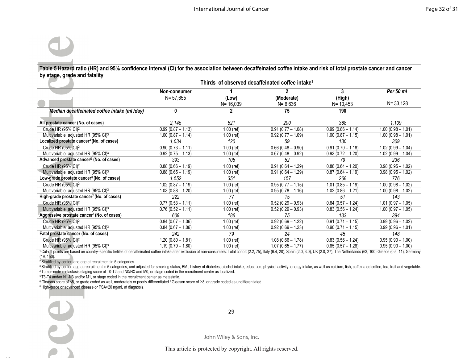# Table 5 Hazard ratio (HR) and 95% confidence interval (CI) for the association between decaffeinated coffee intake and risk of total prostate cancer and cancer by stage, grade and fatality

|                                                        | Thirds of observed decaffeinated coffee intake <sup>1</sup> |              |                     |                     |                     |  |
|--------------------------------------------------------|-------------------------------------------------------------|--------------|---------------------|---------------------|---------------------|--|
|                                                        | Non-consumer                                                |              |                     | 3                   | Per 50 ml           |  |
|                                                        | $N = 57,655$                                                | (Low)        | (Moderate)          | (High)              |                     |  |
|                                                        |                                                             | $N = 16,039$ | $N = 6,636$         | $N = 10,453$        | $N = 33,128$        |  |
| Median decaffeinated coffee intake (ml /day)           | 0                                                           |              | 75                  | 190                 |                     |  |
| All prostate cancer (No. of cases)                     | 2.145                                                       | 521          | 200                 | 388                 | 1.109               |  |
| Crude HR (95% CI) <sup>2</sup>                         | $0.99(0.87 - 1.13)$                                         | $1.00$ (ref) | $0.91(0.77 - 1.08)$ | $0.99(0.86 - 1.14)$ | $1.00(0.98 - 1.01)$ |  |
| Multivariable adjusted HR (95% CI) <sup>3</sup>        | $1.00(0.87 - 1.14)$                                         | $1.00$ (ref) | $0.92(0.77 - 1.09)$ | $1.00(0.87 - 1.15)$ | $1.00(0.98 - 1.01)$ |  |
| Localized prostate cancer <sup>4</sup> (No. of cases)  | 1.034                                                       | 120          | 59                  | 130                 | 309                 |  |
| Crude HR (95% CI) <sup>2</sup>                         | $0.90(0.73 - 1.11)$                                         | $1.00$ (ref) | $0.66(0.48 - 0.90)$ | $0.91(0.70 - 1.18)$ | $1.02(0.99 - 1.04)$ |  |
| Multivariable adjusted HR (95% CI) <sup>3</sup>        | $0.92(0.75 - 1.13)$                                         | $1.00$ (ref) | $0.67(0.48 - 0.92)$ | $0.93(0.72 - 1.20)$ | $1.02(0.99 - 1.04)$ |  |
| Advanced prostate cancer <sup>5</sup> (No. of cases)   | 393                                                         | 105          | 52                  | 79                  | 236                 |  |
| Crude HR (95% CI) <sup>2</sup>                         | $0.88(0.66 - 1.19)$                                         | $1.00$ (ref) | $0.91(0.64 - 1.29)$ | $0.88(0.64 - 1.20)$ | $0.98(0.95 - 1.02)$ |  |
| Multivariable adjusted HR (95% CI) <sup>3</sup>        | $0.88(0.65 - 1.19)$                                         | $1.00$ (ref) | $0.91(0.64 - 1.29)$ | $0.87(0.64 - 1.19)$ | $0.98(0.95 - 1.02)$ |  |
| Low-grade prostate cancer <sup>6</sup> (No. of cases)  | 1,552                                                       | 351          | 157                 | 268                 | 776                 |  |
| Crude HR $(95\% \text{ Cl})^2$                         | $1.02(0.87 - 1.19)$                                         | $1.00$ (ref) | $0.95(0.77 - 1.15)$ | $1.01(0.85 - 1.19)$ | $1.00(0.98 - 1.02)$ |  |
| Multivariable adjusted HR (95% CI) <sup>3</sup>        | $1.03(0.88 - 1.20)$                                         | $1.00$ (ref) | $0.95(0.78 - 1.16)$ | $1.02(0.86 - 1.21)$ | $1.00(0.98 - 1.02)$ |  |
| High-grade prostate cancer <sup>7</sup> (No. of cases) | 222                                                         | 77           | 15                  | 51                  | 143                 |  |
| Crude HR (95% CI) <sup>2</sup>                         | $0.77(0.53 - 1.11)$                                         | $1.00$ (ref) | $0.52(0.29 - 0.93)$ | $0.84(0.57 - 1.24)$ | $1.01(0.97 - 1.05)$ |  |
| Multivariable adjusted HR (95% CI) <sup>3</sup>        | $0.76(0.52 - 1.11)$                                         | $1.00$ (ref) | $0.52(0.29 - 0.93)$ | $0.83(0.56 - 1.24)$ | $1.00(0.97 - 1.05)$ |  |
| Aggressive prostate cancer <sup>8</sup> (No. of cases) | 609                                                         | 186          | 75                  | 133                 | 394                 |  |
| Crude HR (95% CI) <sup>2</sup>                         | $0.84(0.67 - 1.06)$                                         | $1.00$ (ref) | $0.92(0.69 - 1.22)$ | $0.91(0.71 - 1.15)$ | $0.99(0.96 - 1.02)$ |  |
| Multivariable adjusted HR (95% CI)3                    | $0.84(0.67 - 1.06)$                                         | $1.00$ (ref) | $0.92(0.69 - 1.23)$ | $0.90(0.71 - 1.15)$ | $0.99(0.96 - 1.01)$ |  |
| Fatal prostate cancer (No. of cases)                   | 242                                                         | 79           | 24                  | 45                  | 148                 |  |
| Crude HR (95% CI) <sup>2</sup>                         | $1.20(0.80 - 1.81)$                                         | $1.00$ (ref) | $1.08(0.66 - 1.78)$ | $0.83(0.56 - 1.24)$ | $0.95(0.90 - 1.00)$ |  |
| Multivariable adjusted HR (95% CI) <sup>3</sup>        | $1.19(0.79 - 1.80)$                                         | $1.00$ (ref) | $1.07(0.65 - 1.77)$ | $0.85(0.57 - 1.28)$ | $0.95(0.90 - 1.00)$ |  |

1 Cut-off points are based on country-specific tertiles of decaffeinated coffee intake after exclusion of non-consumers: Total cohort (2.2, 75), Italy (6.4, 20), Spain (2.0, 3.0), UK (2.0, 27), The Netherlands (63, 100) Gr (19, 150).

<sup>2</sup>Stratified by center, and age at recruitment in 5 categories.

3 Stratified by center, age at recruitment in 5 categories, and adjusted for smoking status, BMI, history of diabetes, alcohol intake, education, physical activity, energy intake, as well as calcium, fish, caffeinated coff <sup>4</sup>Tumor-node-metastasis staging score of T0-T2 and N0/NX and M0, or stage coded in the recruitment center as localized.

<sup>5</sup>T3-T4 and/or N1-N3 and/or M1, or stage coded in the recruitment center as metastatic.

<sup>6</sup>Gleason score of <8, or grade coded as well, moderately or poorly differentiated.7 Gleason score of ≥8, or grade coded as undifferentiated.

8 High-grade or advanced disease or PSA>20 ng/mL at diagnosis.